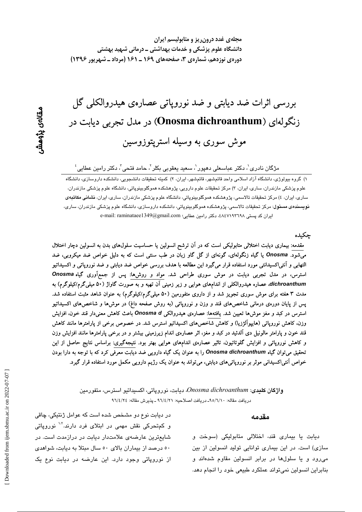# بررسی اثرات ضد دیابتی و ضد نورویاتی عصارهی هیدروالکلی گل زنگولهای (Onosma dichroanthum) در مدل تجربی دیابت در موش سوری به وسیله استریتوزوسین

مژگان نادری ْ، دکتر عباسعلی دهپور ْ، سعید یعقوبی بکلر <sup>۲</sup>، حامد فتحی <sup>۳</sup>، دکتر رامین عطایی ٔ

۱) گروه بیولوژی، دانشگاه آزاد اسلامی واحد قائمشهر، قائمشهر، ایران، ۲) کمیته تحقیقات دانشجویی، دانشگره داروسازی، دانشگاه علوم پزشکی مازندران، ساری، ایران، ۳) مرکز تحقیقات علوم دارویی، پژوهشکده هموگلوبینوپاتی، دانشگاه علوم پزشکی مازندران، ساری، ایران، ٤) مرکز تحقیقات تالاسمی، پژوهشکده هموگلوبینویاتی، دانشگاه علوم پزشکی مازندران، ساری، ایران، **نشانی مکاتب**هی <mark>نویسند*ه*ی مسئول</mark>: مرکز تحقیقات تالاسمی، پژوهشکده هموگلوبینوپاتی، دانشکده داروسازی، دانشگاه علوم پزشکی مازندران، ساری، ایران کد پستی ۸٤٧١٩٣٦٩٨، دکتر رامین عطایی: e-mail: raminataee1349@gmail.com

#### چکیده

مقدمه: بیماری دیابت اختلالی متابولیکی است که در آن ترشح انسولین یا حساسیت سلولهای بدن به انسولین دچار اختلال میشود. Onosma یا گیاه زنگولهای، گونهای از گل گاو زبان در طب سنتی است که به دلیل خواص ضد میکروبی، ضد التهابی و اَنتیاکسیدانتی مورد استفاده قرار میگیرد این مطالعه با هدف بررسی خواص ضد دیابتی و ضد نوروپاتی و اکسیداتیو استرس، در مدل تجربی دیابت در موش سوری طراحی شد. مواد و روشها: پس از جمعآوری گیاه Onosma dichroanthum، عصاره هیدروالکلی از اندامهای هوایی و زیر زمینی آن تهیه و به صورت گاواژ (۵۰ میلیگرم/کیلوگرم) به مدت ۳ هفته برای موش سوری تجویز شد و از داروی متفورمین (۵۰ میلیگرم/کیلوگرم) به عنوان شاهد مثبت استفاده شد. پس از پایان دورهی درمانی شاخص۵مای قند و وزن و نوروپاتی (به روش صفحه داغ) در موش۵ا و شاخص۵مای اکسیداتیو استرس در کبد و مغز موش۵ا تعیین شد. یافتهها: عصارهی هیدروالکی Onosma d باعث کاهش معنیدار قند خون، افزایش وزن، کاهش نوروپاتی (هایپوآلژزیا) و کاهش شاخصهای اکسیداتیو استرس شد. در خصوص برخی از پارامترها مانند کاهش قند خون و پارامتر مالونیل دی آلدئید در کبد و مغز، اثر عصارهی اندام زیرزمینی بیشتر و در برخی پارامترها مانند افزایش وزن و کاهش نوروپاتی و افزایش گلوتاتیون، تاثیر عصارهی اندامهای هوایی بهتر بود. نتیجهگیری: براساس نتایج حاصل از این تحقیق میتوان گیاه Onosma dichroanthum را به عنوان یک گیاه دارویی ضد دیابت معرفی کرد که با توجه به دارا بودن خواص آنتی|کسیدانی موثر بر نوروپاتیهای دیابتی، میتواند به عنوان یک رژیم دارویی مکمل مورد استفاده قرار گیرد.

> واژگان کلمدی: Onosma dichroanthum، دیابت، نوروپاتی، اکسپداتیو استرس، متفورمین دريافت مقاله: ٩٥/٦/١٠ـ دريافت اصلاحيه: ٩٦/٤/٢١ ـ يذيرش مقاله: ٩٦/٤/٢٤

#### مقدمه

دیابت یا بیماری قند، اختلالی متابولیکی (سوخت و سازی) است. در این بیماری توانایی تولید انسولین از بین می رود و یا سلولها در برابر انسولین مقاوم شدهاند و بنابراین انسولین نمی تواند عملکرد طبیعی خود را انجام دهد.

در دیابت نوع دو مشخص شده است که عوامل ژنتیکی، چاقی و کمتحرکی نقش مهمی در ابتلای فرد دارند.<sup>۱٬۲</sup> نوروپاتی شایعترین عارضهی علامتدار دیایت در درازمدت است. در ٥٠ درصد از بيماران بالای ٥٠ سال مبتلا به ديابت، شواهدی از نوروپاتی وجود دارد. این عارضه در دیابت نوع یک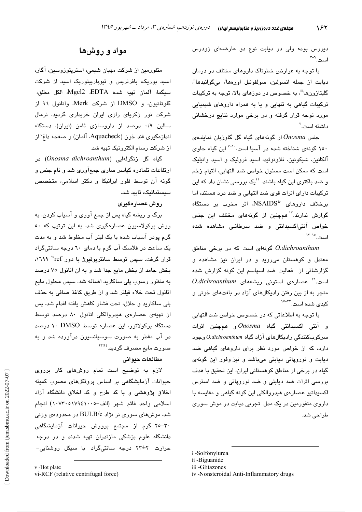دیررس بوده ولی در دیابت نوع دو عارضهای زودرس است.'<sup>--</sup>'

با توجه به عوارض خطرناک داروهای مختلف در درمان ديابت از جمله انسولين، سولفونيل اورەھا<sup>ن</sup>، بىگوانيدھا<sup>ة</sup>، گلیتازون۱<sup>ااا</sup>، به خصوص در دوزهای بالا، توجه به ترکیبات ترکیبات گیاهی به تنهایی و یا به همراه داروهای شیمیایی مورد توجه قرار گرفته و در برخی موارد نتایج درخشانی داشته است.<sup>۲</sup>

 $\epsilon$ جنس Onosma از گونههای گیاه گل گاوزبان نماینده ۱۵۰ گونهی شناخته شده در آسیا است.<sup>۶۰۱</sup> این گیاه حاوی آلکانین، شیکونین، فلاونوئید، اسید فرولیک و اسید وانیلیک است که ممکن است مسئول خواص ضد التهابی، التبام زخم و ضد باکتری این گیاه باشند. ``یک بررسی نشان داد که این ترکیبات دارای اثرات قوی ضد التهابی و ضد درد هستند، اما  $\sim$  NSAIDS $^{\rm iv}$  درخلاف داروهای  $^{\rm iv}$ SAIDS اثر مخرب بر دستگاه گوارش ندارند.<sup>۱۲</sup> همچنین از گونهها*ی* مختلف این جنس خواص آنتی(کسیدانتی و ضد سرطانبی مشاهده شده است. ١٣-١٧

O.dichroanthum گونهای است که در برخی مناطق معتدل و کوهستان میروید و در ایران نیز مشاهده و گزارشاتی از فعالیت ضد اسپاسم این گونه گزارش شده است.<sup>۱۲</sup> عصارهی استونی ریشههای *O.dichroanthum* منجر به از بین رفتن رادیکالهای آزاد در بافتهای خونی و ک*ندی شد*ه است.<sup>۲۲–۱۷</sup>

با توجه به اطلاعاتی که در خصوص خواص ضد التهابی و آنتی اکسیدانتی گیاه *Onosma و ه*مچنین اثرات سرکوبکنندگی رادیکالهای آزاد گیاه O.dichroanthum وجود دارد، که از خواص مورد نظر برای داروهای گیاهی ضد دیابت و نوروپاتی دیابتی میباشد و نیز وفور این گونهی گیاه در برخی از مناطق کوهستانی ایران، این تحقیق با هدف بررسی اثرات ضد دیابتی و ضد نوروپاتی و ضد استرس اکسیداتیو عصارهی هیدروالکلی این گونه گیاهی و مقایسه با داروی متفورمین در یک مدل تجربی دیابت در موش سوری طراحے شد.

i -Solfonylurea

## مواد و روشها

متفورمین از شرکت مهبان شیمی، استرپتوزوسین، آگار، اسید بوریک، بافرتریس و تیوباربیتوریک اسید از شرکت سبيگما، آلمان تهيه شده Mgcl2 ،EDTA، الكل مطلق، گلوتاتیون، و DMSO از شرکت Merk، واتانول ۹٦ از شرکت نور زکریای رازی ایران خریداری گردید. نرمال سالین ۰/۹ درصد از داروسازی ثامن (ایران)، دستگاه اندازهگیری قند خون (Aquacheck، آلمان) و صفحه داغ ّاز از شرکت رسام الکترونیک تهیه شد.

گیاه گل زنگولهایی (*Onosma dichroanthum*) در ارتفاعات تلمادره کیاسر ساری جمعآوری شد و نام جنس و گونه آن توسط فلور ایرانیکا و دکتر اسلامی، متخصص سىستماتىك، تاييد شد.

### روش عصارهگىرى

برگ و ریشه گیاه پس از جمع آوری و آسیاب کردن، به روش پرکولاسیون عصارهگیری شد. به این ترتیب که ٥٠ گرم پودر آسیاب شده با یک لیتر آب مخلوط شد و به مدت یک ساعت در فلاسک آب گرم با دمای ٦٠ درجه سانتیگراد قرار گرفت. سپس توسط سانتریوفیوژ با دور rcf<sup>vi</sup>rcf، بخش جامد از بخش مایع جدا شد و به ان اتانول ۷۵ درصد به منظور رسوب پلی ساکارید اضافه شد. سپس محلول مایع اتانول تحت خلاء فيلتر شد و از طريق كاغذ صافى به حذف یلی ساکارید و حلال، تحت فشار کاهش یافته اقدام شد. پس از تهیهی عصارهی هیدروالکلی اتانول ۸۰ درصد توسط دستگاه پرکولاتور، این عصاره توسط DMSO ۱۰ درصد در آب مقطر به صورت سوسیانسیون درآورده شد و به صورت مایع مصرف گردید.<sup>۲۳،۲٤</sup>

#### مطالعات حدواني

لازم به توضیح است تمام روشهای کار برروی حیوانات آزمایشگاهی بر اساس پروتکلهای مصوب کمیته اخلاق پژوهشی و با کد طرح و کد اخلاق دانشگاه آزاد اسلامي واحد قائم شهر (الف-١٠٧٩٤١٠٠٥) انجام شد. موشهای سوری نر نژاد BULB/c در محدودهی وزنی ۳۰–۲۵ گرم از مجتمع پرورش حیوانات آزمایشگاهی دانشگاه علوم پزشکی مازندران تهیه شدند و در درجه حرارت ۲+±۲۳ درجه سانتی،گراد با سیکل روشنایی−

ii-Biguanide

iii -Glitazones

iv -Nonsteroidal Anti-Inflammatory drugs

v -Hot plate vi-RCF (relative centrifugal force)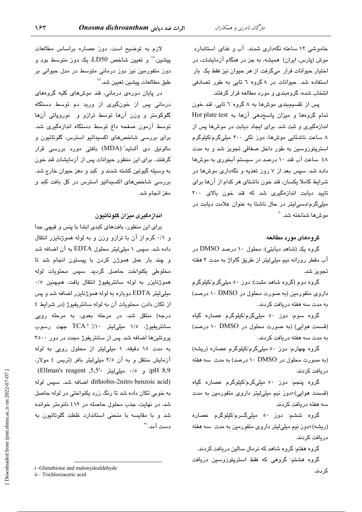خاموشی ١٢ ساعته نگهداری شدند. آب و غذای استاندارد موش (پارس، ایران) همیشه، به جز در هنگام آزمایشات، در اختیار حیوانات قرار میگرفت. از هر حیوان نیز فقط یک بار استفاده شد. حیوانات در ۸ گروه ٦ تایی به طور تصادفی انتخاب شده، گروهبندی و مورد مطالعه قرار گرفتند.

یس از تقسیمبندی موشها به ۸ گروه ۲ تابی، قند خون تمام گروهها و میزان پاسخدهی آنها به Hot plate test اندازهگیری و ثبت شد. برای ایجاد دیابت در موشها پس از ۸ ساعت ناشتایی موشها، دور تکی ۲۰۰ میلیگرم/کیلوگرم استرپتوزوسین به طور داخل صفاقی تجویز شد و به مدت ٤٨ ساعت آب قند ١٠ درصد در سيستم آبخوري به موشها داده شد. سپس بعد از ۷ روز تغذیه و نگهداری موشها در شرایط کاملا یکسان، قند خون ناشتای هر کدام از آنها برای تایید دیابت اندازهگیری شد که قند خون بالای ۲۰۰ مبلی گرم/دسے لیتر در حال ناشتا به عنوان علامت دیابت در موشها شناخته شد. ``

#### گروههای مورد مطالعه

گروه یک (شاهد دیابتی): محلول ۱۰ درصد DMSO در آب مقطر روزانه نیم میلی لیتر از طریق گاواژ به مدت ۳ هفته تجويز شد.

گروه دوم (گروه شاهد مثبت): دوز ٥٠ میلیگرم/کیلوگرم داروی متفورمین (به صورت محلول در DMSO ۱۰ درصد) به مدت سه هفته دریافت کردند.

گروه سوم: دوز ٥٠ میلیگرم/کیلوگرم عصاره گیاه (قسمت هوایی) (به صورت محلول در DMSO ١٠ درصد) به مدت سه هفته دریافت کردند.

گروه چهارم: دوز ٥٠ میلیگرم/کیلوگرم عصاره (ریشه) (به صورت محلول در ۱۰ DMSO (درصد) به مدت سه هفته در پافت کر دند.

گروه پنجم: دوز ٥٠ ميليگرم/کيلوگرم عصاره گياه (قسمت هوایی)+دوز نیم میلیلیتر داروی متفورمین به مدت سه هفته در یافت کر دند.

گروه ششم: دوز ٥٠ ميلي،گــرم/کيلوگرم عصاره (ریشه)+دوز نیم میلیلیتر داروی متفورمین به مدت سه هفته در پافت کر دند.

گروه هفتم: گروه شاهد که نرمال سالین دریافت کردند. گروه هشتم: گروهی که فقط استرپتوزوسین دریافت

لازم به توضیح است، دوز عصاره براساس مطالعات پیشین، `` و تعیین شاخص LD50، یک دوز متوسط بود و دوز متفورمین نیز دوز درمانی متوسط در مدل حیوانی بر طبق مطالعات پیشین تعیین شد.<sup>۱۷</sup>

در پایان دورهی درمانی، قند موشهای کلیه گروههای درمانی پس از خونگیری از ورید دم توسط دستگاه گلوکومتر و وزن آنها توسط ترازو و نوروپاتی آنها توسط آزمون صفحه داغ توسط دستگاه اندازهگیری شد. برای بررسی شاخصهای اکسیدانیو استرس، گلوتانیون و مالونیل دی آلدئید<sup>:</sup> (MDA) بافتی مورد بررسی قرار گرفتند.. برای این منظور حیوانات پس از آزمایشات قند خون به وسیله گیوتین کشته شدند و کید و مغز حیوان خارج شد. بررسی شاخصهای اکسیداتیو استرس در کل بافت کبد و مغز انجام شد.

#### اندازهگیری میزان گلوتاتیون

برای این منظور، بافتهای کبدی ابتدا با پنس و قیچی جدا و ٠/١ گرم از آن با ترازو وزن و به لوله هموژنایزر انتقال داده شد. سپس ۱ میلیلیتر محلول EDTA به آن اضافه شد و چند بار عمل هموژن کردن با پیستون انجام شد تا مخلوطی یکنواخت حاصل گردید. سپس محتویات لوله هموژنایزر به لوله سانتریفیوژ انتقال یافت، همچنین ۰/۰ میلی لیتر EDTA دوباره به لوله هموژنایزر اضافه شد و پس از تکان دادن، محتویات آن به لوله سانتریفیوژ (در شرایط ٤ درجه) منتقل شد. در مرحله بعدی، به مرحله رویی سانتريفيوژ، ١/٥ ميلىليتر ٢٠٪ TCA جهت رسوب پروتئینها اضافه شد. پس از سانتریفوژ مجدد در دور ۳۵۰۰ به مدت ١٥ دقيقه، ١ ميلىليتر از محلول رويى به لوله آزمایش منتقل و به آن ٢/٥ میلی لیتر بافر (تریس ٤ مولار، (pH 8,9) و  $\cdot$  ملے لیتر -5,5′ (Ellman's reagent) dithiobis-2nitro benzoic acid) اضافه شد. سپس لوله به خوبی تکان داده شد تا رنگ زرد یکنواختی در لوله حاصل شد. در نهایت، جذب محلول حاصله در ٤١٢ نانومتر خوانده شد و با مقایسه با منحنی استاندارد غلظت گلوتاتیون به دست آمد.``

i -Glutathione and malonydealdehyde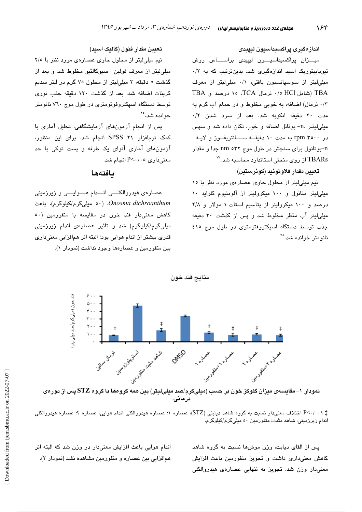اندازەگیرى پراكسىداسىيون ليپيدى

ميىزان پراكسىيداسىيون ليپيدى براسىساس روش تیوبابیتوریک اسید اندازهگیری شد. بدینترتیب که به ۰/۲ میلی لیتر از سوسپانسیون بافتی، ۰/۱ میلی لیتر از معرف TBA (شامل HCl 10 أبرمال TCA، درصد و TBA ٠/٣ نرمال) اضافه، به خوبي مخلوط و در حمام آب گرم به مدت ۳۰ دقیقه انکوبه شد. بعد از سرد شدن ۰/۲ میلی لیتـر .n- بوتانل اضافه و خوب تکان داده شد و سپس در ۲۵۰۰ rpm به مدت ۱۰ دقیقــه ســـانتریفــوژ و لایــه n-بوتانول برای سنجش در طول موج nm ٥٣٢ جدا و مقدار از روی منحنی استاندارد محاسبه شد. $^{\vee\prime}$ 

#### تعيين مقدار فلاونوئيد (كوئرستين)

نیم میلی لیتر از محلول حاوی عصارهی مورد نظر با ١٥ میلی لیتر متانول و ۱۰۰ میکرولیتر از آلومنیوم کلراید ۱۰ درصد و ۱۰۰ میکرولیتر از پتاسیم استات ۱ مولار و ۲/۸ میلی لیتر آب مقطر مخلوط شد و پس از گذشت ۳۰ دقیقه جذب توسط دستگاه اسپکتروفتومتری در طول موج ٤١٥ نانو متر خوانده شد. <sup>۲۰</sup>

تعیین مقدار فنول (گالیک اسید)

نیم میلی لیتر از محلول حاوی عصارهی مورد نظر با ٢/٥ میلی لیتر از معرف فولین –سیوکالتیو مخلوط شد و بعد از گذشت ٥ دقیقه، ٢ میلی لیتر از محلول ٧٥ گرم در لیتر سدیم كربنات اضافه شد. بعد از گذشت ١٢٠ دقيقه جذب نورى توسط دستگاه اسپکتروفوتومتری در طول موج ۷٦۰ نانومتر خوانده شد.°`

پس از انجام آزمونهای آزمایشگاهی، تحلیل آماری با کمک نرمافزار ۲۱ SPSS انجام شد. برای این منظور، آزمونهای آماری آنوای یک طرفه و پست توکی با حد معنی داری P<۰/۰٥ انجام شد.

#### بافتهها

عصارهی هیدروالکلــــی انــــدام هــــوایــــی و زیرزمینی Onosma dichroanthum. (٥٠ میلیگرم/کیلوگرم)، باعث کاهش معنیدار قند خون در مقایسه با متفورمین (٥٠ میلیگرم/کیلوگرم) شد و تاثیر عصارهی اندام زیرزمینی قدری بیشتر از اندام هوایی بود؛ البته اثر همافزایی معنیداری بین متفورمین و عصارهها وجود نداشت (نمودار ۱).

خون (میلی گرم/صد میلی لیتر نمودار ۱– مقایسهی میزان گلوکز خون بر حسب (میلیگرم/صد میلیلیتر) بین همه گروهها با گروه STZ پس از دورهی درمانی.

نتائج قند خون

‡ P<۰/۰۰۱ اختلاف معنیدار نسبت به گروه شاهد دیابتی (STZ)، عصاره ۱: عصاره هیدروالکلی اندام هوایی، عصاره ۲: عصاره هیدروالکلی اندام زیرزمینی، شاهد مثبت: متفورمین ٥٠ میلیگرم/کیلوگرم.

> پس از القای دیابت، وزن موشها نسبت به گروه شاهد کاهش معنی داری داشت و تجویز متفورمین باعث افزایش معنی،دار وزن شد. تجویز به تنهایی عصارهی هیدروالکلی

اندام هوایی باعث افزایش معنیدار در وزن شد که البته اثر همافزایی بین عصاره و متفورمین مشاهده نشد (نمودار ۲).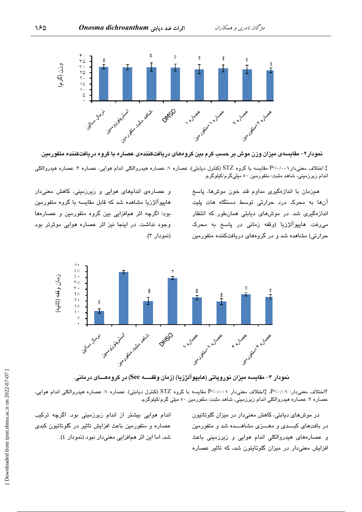

نمودار۲– مقایسهی میزان وزن موش بر حسب گرم بین گروههای دریافتکنندهی عصاره با گروه دریافتکننده متفورمین.

‡ اختلاف معنیدار P<۰/۰۰۱ مقایسه با گروه STZ (کنترل دیابتی)، عصاره ۱: عصاره هیدروالکلی اندام هوایی، عصاره ۲: عصاره هیدروالکلی اندام زیرزمینی، شاهد مثبت: متفورمین ٥٠ میلیگرم/کیلوگرم.

> همزمان با اندازهگیری مداوم قند خون موشها، پاسخ آنها به محرک درد حرارتی توسط دستگاه هات پلیت اندازهگیری شد. در موشهای دیابتی همانطور که اتتظار می رفت، هایپوآلژزیا (وقفه زمانی در پاسخ به محرک حرارتی) مشاهده شد و در گروههای دریافتکننده متفورمین

و عصارهی اندامهای هوایی و زیرزمینی، کاهش معنیدار هایپوآلژزیا مشاهده شد که قابل مقایسه با گروه متفورمین بود؛ اگرچه اثر همافزایی بین گروه متفورمین و عصارهها وجود نداشت. در اینجا نیز اثر عصاره هوایی موثرتر بود (نمودار ٣).



نمودار ۳– مقایسه میزان نوروپاتی (هایپوآلژزیا) (زمان وقفــــه Sec) در گروههـــای درمانی.

.<br>آاختلاف معنی،دار: P<۰/۰۱، ‡اختلاف معنی،دار P<۰/۰۰۱ مقایسه با گروه STZ (کنترل دیابتی). عصاره ۱: عصاره هیدروالکلی اندام هوایی، عصاره ۲: عصاره هیدروالکلی اندام زیرزمینی، شاهد مثبت: متفورمین ٥٠ میلی گرم/کیلوگرم.

> در موشهای دیابتی، کاهش معنیدار در میزان گلوتاتیون در بافتهای کبـــدی و مغــــزی مشاهــــده شد و متفورمین و عصارههای هیدروالکلی اندام هوایی و زیرزمینی باعث افزایش معنی،دار در میزان گلوتایتون شد، که تاثیر عصاره

اندام هوایی بیشتر از اندام زیرزمینی بود. اگرچه ترکیب عصاره و متفورمین باعث افزایش تاثیر در گلوتاتیون کبدی شد، اما این اثر همافزایی معنیدار نبود (نمودار ٤).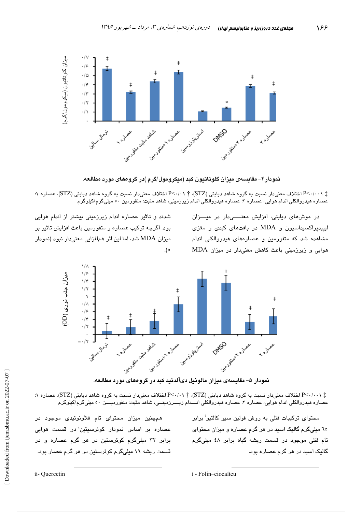

نمودار۴– مقایسهی میزان گلوتاتیون کبد (میکرومول/گرم )در گروههای مورد مطالعه.

: P<-/-->P اختلاف معنیدار نسبت به گروه شاهد دیابتی (STZ)، † ۱۰/۰-P اختلاف معنیدار نسبت به گروه شاهد دیابتی (STZ)، عصاره ۱: عصاره هيدروالکلی اندام هوايی، عصاره ۲: عصاره هيدروالکلی اندام زيرزمينی، شاهد مثبت: متفورمين ٥٠ ميلیگرم/کيلوگرم

> در موشهای دیابتی، افزایش معنــــیدار در میـــزان لیپیدپراکسیداسیون و MDA در بافتهای کبدی و مغزی مشاهده شد که متفورمین و عصارههای هیدروالکلی اندام هوایی و زیرزمینی باعث کاهش معنیدار در میزان MDA

شدند و تاثیر عصاره اندام زیرزمینی بیشتر از اندام هوایی بود. اگرچه ترکیب عصاره و متفورمین باعث افزایش تاثیر بر میزان MDA شد، اما این اثر همافزایی معنیدار نبود (نمودار  $. ( \circ$ 



نمودار ۵– مقايسه،ی ميزان مالونيل دیآلدئيد کبد در گروههای مورد مطالعه.

‡ P<۰/۰۰۱ اختلاف معنیدار نسبت به گروه شاهد دیابتی (STZ)، † ۰/۰۰اختلاف معنیدار نسبت به گروه شاهد دیابتی (STZ). عصاره ۱: عصاره هيدروالکلی اندام هوايي، عصاره ۲: عصاره هيدروالکلی انـــدام زيــــرزمينــي، شاهد مثبت: متفورميــــن ٥٠ ميليگرم/کيلوگرم

> محتوا*ی* ترکیبات فنلی به روش فولین سبو کالتیو<sup>:</sup> برابر ٦٥ میلی گرم گالیک اسید در هر گرم عصاره و میزان محتوای تام فنلی موجود در قسمت ریشه گیاه برابر ٤٨ میلیگرم گالیک اسید در هر گرم عصاره بود.

همچنین میزان محتوای تام فلاونوئیدی موجود در عصاره بر اساس نمودار کوئرسیتین<sup>ة</sup> در قسمت هوای*ی* برابر ۳۲ میلیگرم کوئرستین در هر گرم عصاره و در قسمت ریشه ۱۹ میلیگرم کوئرستین در هر گرم عصار بود.

ii- Quercetin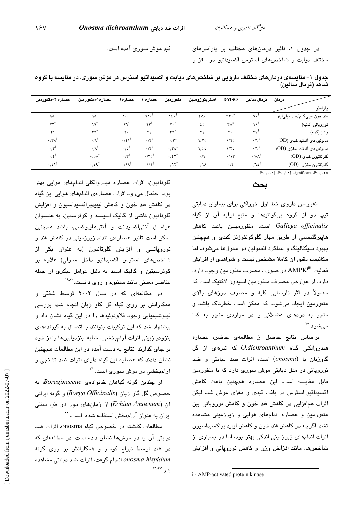کبد موش سوری آمده است.

در جدول ۱، تاثیر درمانهای مختلف بر پارامترهای مختلف دیابت و شاخصهای استرس اکسیداتیو در مغز و

جدول ۱– مقایسهی درمانهای مختلف دارویی بر شاخصهای دیابت و اکسیداتیو استرس در موش سوری، در مقایسه با گروه شاهد (نرمال سالين)

| عصاره ۲+متفورمين               | عصاره١+متفورمين               | عصاره٢                             | عصاره                          | متفورمين                      | استرپتوزوسين    | <b>DMSO</b>             | نرمال سالين                    | درمان                       |
|--------------------------------|-------------------------------|------------------------------------|--------------------------------|-------------------------------|-----------------|-------------------------|--------------------------------|-----------------------------|
|                                |                               |                                    |                                |                               |                 |                         |                                | پارامتر                     |
| ٨٥                             | $90^{\dagger}$                | $\cdots$                           | ۱۱۰                            | ۱٤٠                           | ٤٨٠             | rr.                     | $\gamma \cdot$                 | قند خون میلیگرم/صد میلیلیتر |
| $\tau\tau^{\dagger}$           | ١٩Ť                           | †۳                                 | $\tau\tau^{\dagger}$           | $r \cdot$ †                   | ه ٤             | $\mathsf{r}\wedge^\ast$ | $\mathbf{v}^{\dagger}$         | نوروپاتي (ثانيه)            |
| ٣١                             | $\mathsf{r}\mathsf{r}^*$      | ٣.                                 | $Y\S$                          | $\mathsf{rr}^*$               | ٢٤              | $\mathbf{r}$ .          | $\mathsf{rv}^\dagger$          | وزن (گرم)                   |
| $\cdot$ /٣ $\wedge^{\ddagger}$ | $\cdot$ /9 <sup>†</sup>       | $\cdot/\epsilon \lambda^{\dagger}$ | $\cdot/\tau^{\ddagger}$        | $\cdot/\tau^{\ddagger}$       | $1/\tau$        | 1/70                    | $\cdot/\lambda^{\ddagger}$     | مالونيل دی آلدئيد کبدی (OD) |
| $\cdot/\tau^{\ddagger}$        | $\cdot/\Lambda^{\dagger}$     | $\cdot$ 10 <sup>†</sup>            | $\cdot/\tau^{\ddagger}$        | $\cdot/\tau \circ^{\ddagger}$ | $1/\epsilon$    | $1/\tau$                | $\cdot/\lambda^{\ddagger}$     | مالونيل دى آلدئيد مغزى (OD) |
| $.15$ <sup>†</sup>             | $\cdot/\circ \circ^{\dagger}$ | $\cdot/\tau^{\dagger}$             | $\cdot/\tau \circ$             | .75                           | $\cdot/\wedge$  | $\cdot/\gamma$          | $\cdot$ /0 $\Lambda^{\dagger}$ | گلوتاتيون كېدى (OD)         |
| $\cdot/\circ \setminus$        | $\cdot$ /09 <sup>†</sup>      | $\cdot/2\Lambda^{\dagger}$         | $\cdot/\epsilon\tau^{\dagger}$ | $\cdot/\nu^{\dagger}$         | $\cdot/\lambda$ | $\cdot/\tau$            | $\cdot/\tau$ o                 | گلوتاتيون مغزى (OD)         |

 $P \leq \cdots$   $P \leq \cdots$  is equiticant  $P \leq \cdots$ 

## ىحث

متفورمین داروی خط اول خوراکی برای بیماران دیابتی تيپ دو از گروه بیگوانيدها و منبع اوليه آن از گياه Gallega officinalis است. متفورميـــن باعث كاهش هاییرگلیسمی از طریق مهار گلوکونئوژنز کبدی و همچنین بهبود سیگنالینگ و عملکرد انسولین در سلولها میشود. اما مکانیسم دقیق آن کاملا مشخص نیست و شواهدی از افزایش فعالیت AMPK<sup>iii</sup> در صورت مصرف متفورمین وجود دارد. دارد. از عوارض مصرف متفورمین اسپدوز لاکتیک است که معمولاً در اثر نارسایی کلیه و مصرف دوزهای بالای متفورمین ایجاد میشود. که ممکن است خطرناک باشد و منجر به دردهای عضلانی و در مواردی منجر به کما مے شو د.``

براساس نتايج حاصل از مطالعهى حاضر، عصاره هیدروالکلی گیاه *O.dichroanthum که* تیرهای از گل گاوزبان یا (onosma) است، اثرات ضد دیابتی و ضد نوروپاتی در مدل دیابتی موش سوری دارد که با متفورمین قابل مقایسه است. این عصاره همچنین باعث کاهش اکسیداتیو استرس در بافت کبدی و مغزی موش شد، لیکن اثرات همافزایی در کاهش قند خون و کاهش نوروپاتی بین متفورمین و عصاره اندامهای هوایی و زیرزمینی مشاهده نشد. اگرچه در کاهش قند خون و کاهش لیپید پراکسیداسیون اثرات اندامهای زیرزمینی اندکی بهتر بود، اما در بسیاری از شاخصها، مانند افزایش وزن و کاهش نوروپاتی و افزایش

i - AMP-activated protein kinase

گلوتاتیون، اثرات عصاره هیدروالکلی اندامهای هوایی بهتر بود. احتمال میرود اثرات عصارهی اندامهای هوایی این گیاه در کاهش قند خون و کاهش لیپیدپراکسیداسیون و افزایش گلوتاتیون ناشی از گالیک اسیسد و کوئرستین، به عنسوان عوامــل آنتىاكسىدانت و آنتىھايپوكسى، باشد ھمچنين ممکن است تاثیر عصارهی اندام زیرزمینی در کاهش قند و نوروپاتسی و افزایش گلوتاتیون (به عنوان یکی از شاخصهای استرس اکسیداتیو داخل سلولی) علاوه بر کوئرسیتین و گالیک اسید به دلیل عوامل دیگر*ی* از جمله عناصر معدنی مانند سلنیوم و روی دانست. <sup>۱۹٬۲۰</sup>۰

در مطالعهای که در سال ۲۰۰۲ توسط شفقی و همکارانش بر روی گیاه گل گاو زبان انجام شد، بررسی فیتوشیمیایی وجود فلاونوئیدها را در این گیاه نشان داد و پیشنهاد شد که این ترکیبات بتوانند با اتصال به گیرندههای بنزودیازپینی اثرات آرامبخشی مشابه بنزدیاپینها را از خود بر جای گذارند. نتایج به دست آمده در این مطالعات همچنین نشان دادند که عصاره این گیاه دارای اثرات ضد تشنجی و آرامبخشی در موش سور*ی* است. <sup>۲۱</sup>

از چندین گونه گیاهان خانوادهی Boraginaceae، به خصوص گل گاو زبان (Borgo Officinalis) و گونه ایرانی آن (Echiun Amoenum) از زمانهای دور در طب سنتی ایران به عنوان آرامبخش استفاده شده است. <sup>۲۲</sup>

مطالعات گذشته در خصوص گیاه onosma، اثرات ضد دیابتی آن را در موشها نشان داده است. در مطالعهای که در هند توسط نیراج کومار و همکارانش بر روی گونه onosma hispidum انجام گرفت، اثرات ضد دیابتی مشاهده شد. ٢٦،٢٧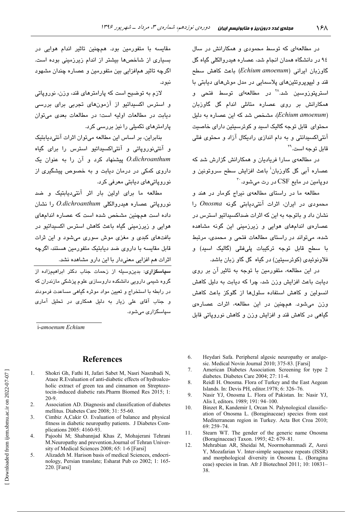در مطالعهای که توسط محمودی و همکارانش در سال ۹٤ در دانشگاه همدان انجام شد، عصاره هیدروالکلی گیاه گل گاوزبان ایرانی (Echium amoenum) باعث کاهش سطح قند و لیپوپروتئینهای پلاسمایی در مدل موشهای دیابتی با استریتوزوسین شد.<sup>۲۸</sup> در مطالعهای توسط فتحی و همکارانش پر روی عصاره متانلی اندام گل گاوزبان (Echium amoenum)، مشخص شد که این عصاره به دلیل محتوای قابل توجه گالیک اسید و کوئرسیتین دارای خاصیت آنتی|کسیدانتی و به دام اندازی رادیکال آزاد و محتوی فنلی قابل توجه است.<sup>۲۹</sup>

در مطالعهی سارا فریادیان و همکارانش گزارش شد که عصارہ آئے، گل گاو<u>زبان<sup>:</sup> ب</u>اعث افزایش سطح سروتونین و  $\cdot$ ه دویامین در مایع  $\mathrm{CSF}$  در رت میشود.

مطالعه ما در راستای مطالعهی نیراج کومار در هند و محمودی در ایران، اثرات آنتی دیایتی گونه Onosma را نشان داد و باتوجه به این که اثرات ضداکسیداتیو استرس در عصارهی اندامهای هوایی و زیرزمینی این گونه مشاهده شده، می تواند در راستای مطالعات فتحی و محمدی، مرتبط با سطح قابل توجه ترکیبات پلیفنلی (گالیک اسید) و فلاونوئیدی (کوئرسیتین) در گیاه گل گاو زبان باشد.

در این مطالعه، متفورمین با توجه به تاثیر آن بر روی دیابت باعث افزایش وزن شد، چرا که دیابت به دلیل کاهش انسولین و کاهش استفاده سلولها از گلوکز باعث کاهش وزن میشود. همچنین در این مطالعه، اثرات عصارهی گیاهی در کاهش قند و افزایش وزن و کاهش نوروپاتی قابل

مقایسه با متفورمین بود. همچنین تاثیر اندام هوایی در بسیاری از شاخصها بیشتر از اندام زیرزمینی بوده است. اگرچه تاثیر همافزایی بین متفورمین و عصاره چندان مشهود نبود.

لازم به توضیح است که پارامترهای قند، وزن، نوروپاتی و استرس اکسندانتو از آزمونهای تجربی برای بررس*ی* ديابت در مطالعات اوليه است؛ در مطالعات بعدى مى توان پارامترهای تکمیلی را نیز بررسی کرد.

بنابراین، بر اساس این مطالعه می توان اثرات آنتی دیابتیک و آنتینوروپاتی و آنتیاکسیداتیو استرس را برای گیاه O.dichroanthum پیشنهاد کرد و آن را به عنوان یک داروی کمکی در درمان دیابت و به خصوص پیشگیری از نوروپاتیهای دیابتی معرفی کرد.

مطالعه ما برای اولین بار اثر آنتی،دیابتیک و ضد نورویاتی عصاره هندروالکلی O.dichroanthum را نشان داده است همچنین مشخص شده است که عصاره اندامهای هوایی و زیرزمینی گیاه باعث کاهش استرس اکسیداتیو در .<br>بافتهای کبدی و مغزی موش سوری میشود و این ثرات قابل مقایسه با داروی ضد دیابتیک متفورمین هستند، اگرچه اثرات هم افزایی معنیدار با این دارو مشاهده نشد.

.<br><mark>سیاسگزاری: بدین</mark>وسیله از زحمات جناب دکتر ابراهیمزاده از گروه شیمی دارویی دانشکده داروسازی علوم پزشکی مازندران که در رابطه با استخراج و تعیین مواد موثره گیاهی مساعدت فرمودند و جناب آقای علی زیار به دلیل همکاری در تحلیل آماری سیاسگزاری مے شود.

i-amoenum Echium

#### **References**

- Shokri Gh, Fathi H, Jafari Sabet M, Nasri Nasrabadi N,  $\mathbf{1}$ Ataee R. Evaluation of anti-diabetic effects of hydroalcoholic extract of green tea and cinnamon on Streptozotocin-induced diabetic rats. Pharm Biomed Res 2015; 1:  $20-9$
- $\mathfrak{D}$ Association AD. Diagnosis and classification of diabetes mellitus. Diabetes Care 2008; 31: 55-60.
- Cimbiz A, Cakir O. Evaluation of balance and physical  $\mathcal{L}$ fitness in diabetic neuropathy patients. J Diabetes Complications 2005: 4160-93.
- Pajoohi M; Shabannjad Khas Z, Mohajerani Tehrani  $\overline{4}$ . M.Neuropathy and prevention.Journal of Tehran University of Medical Sciences 2008; 65: 1-6 [Farsi]
- 5. Alizadeh M. Harison basis of medical Sciences, endocrinology, Persian translate; Esharat Pub co 2002; 1: 165-220. [Farsi]
- 6. Heydari Safa. Peripheral algesic neuropathy or analgesic. Medical Novin Journal 2010: 375-83. [Farsi]
- 7. American Diabetes Association. Screening for type 2 diabetes. Diabetes Care 2004; 27: 11-4.
- 8. Reidl H. Onosma. Flora of Turkey and the East Aegean Islands. In: Devis PH, editor.1978; 6: 326-76.
- $\mathbf{Q}$ Nasir YJ, Onosma L. Flora of Pakistan. In: Nasir YJ, Alis I, editors. 1989; 191: 94-100.
- $10<sup>1</sup>$ Binzet R, Kandemir I, Orcan N. Palynological classification of Onosma L. (Boraginaceae) species from east Mediterranean region in Turkey. Acta Bot Croa 2010;  $69:259 - 74.$
- 11. Stearn WT. The gender of the generic name Onosma (Boraginaceae) Taxon. 1993; 42: 679-81.
- 12. Mehrabian AR, Sheidai M, Noormohammadi Z, Asrei Y, Mozafarian V. Inter-simple sequence repeats (ISSR) and morphological diversity in Onosma L. (Boragina ceae) species in Iran. Afr J Biotechnol 2011; 10: 10831-38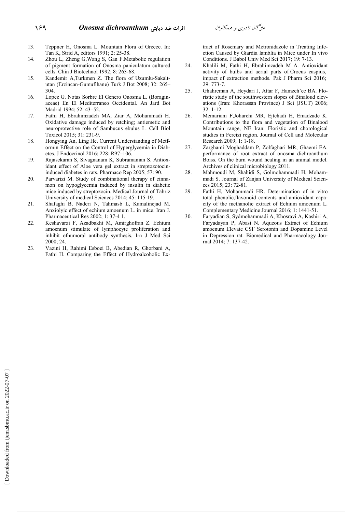- 13. Teppner H, Onosma L. Mountain Flora of Greece. In: Tan K, Strid A, editors 1991; 2: 25-38.
- 14. Zhou L, Zheng G,Wang S, Gan F.Metabolic regulation of pigment formation of Onosma paniculatum cultured cells. Chin J Biotechnol 1992; 8: 263-68.
- 15. Kandemir A,Turkmen Z. The flora of Uzumlu-Sakaltutan (Erzincan-Gumuflhane) Turk J Bot 2008; 32: 265– 304.
- 16. Lopez G. Notas Sorbre El Genero Onosma L. (Boraginaceae) En El Mediterraneo Occidental. An Jard Bot Madrid 1994; 52: 43–52.
- 17. Fathi H, Ebrahimzadeh MA, Ziar A, Mohammadi H. Oxidative damage induced by retching; antiemetic and neuroprotective role of Sambucus ebulus L. Cell Biol Toxicol 2015; 31: 231-9.
- 18. Hongying An, Ling He. Current Understanding of Metformin Effect on the Control of Hyperglycemia in Diabetes. J Endocrinol 2016; 228: R97–106.
- 19. Rajasekaran S, Sivagnanam K, Subramanian S. Antioxidant effect of Aloe vera gel extract in streptozotocininduced diabetes in rats. Pharmaco Rep 2005; 57: 90.
- 20. Parvarizi M. Study of combinational therapy of cinnamon on hypoglycemia induced by insulin in diabetic mice induced by streptozocin. Medical Journal of Tabriz University of medical Sciences 2014; 45: 115-19.
- 21. Shafaghi B, Naderi N, Tahmasb L, Kamalinejad M. Anxiolyic effect of echium amoenum L. in mice. Iran J. Pharmaceutical Res 2002; 1: 37-4 1.
- 22. Keshavarzi F, Azadbakht M, Amirghofran Z. Echium amoenum stimulate of lymphocyte proliferation and inhibit ofhumoral antibody synthesis. Irn J Med Sci 2000; 24.
- 23. Vazini H, Rahimi Esboei B, Abedian R, Ghorbani A, Fathi H. Comparing the Effect of Hydroalcoholic Ex-

tract of Rosemary and Metronidazole in Treating Infection Caused by Giardia lamblia in Mice under In vivo Conditions. J Babol Univ Med Sci 2017; 19: 7-13.

- 24. Khalili M, Fathi H, Ebrahimzadeh M A. Antioxidant activity of bulbs and aerial parts of Crocus caspius, impact of extraction methods. Pak J Pharm Sci 2016; 29: 773-7.
- 25. Ghahreman A, Heydari J, Attar F, Hamzeh'ee BA. Floristic study of the southwestern slopes of Binaloud elevations (Iran: Khorassan Province) J Sci (JSUT) 2006; 32: 1-12.
- 26. Memariani F,Joharchi MR, Ejtehadi H, Emadzade K. Contributions to the flora and vegetation of Binalood Mountain range, NE Iran: Floristic and chorological studies in Fereizi region. Journal of Cell and Molecular Research 2009; 1: 1-18.
- 27. Zarghami Moghaddam P, Zolfaghari MR, Ghaemi EA. performance of root extract of onosma dichroanthum Boiss. On the burn wound healing in an animal model. Archives of clinical microbiology 2011.
- 28. Mahmoudi M, Shahidi S, Golmohammadi H, Mohammadi S. Journal of Zanjan University of Medical Sciences 2015; 23: 72-81.
- 29. Fathi H, Mohammadi HR. Determination of in vitro total phenolic,flavonoid contents and antioxidant capacity of the methanolic extract of Echium amoenum L. Complementary Medicine Journal 2016; 1: 1441-51.
- 30. Faryadian S, Sydmohammadi A, Khosravi A, Kashiri A, Faryadayan P, Abasi N. Aqueous Extract of Echium amoenum Elevate CSF Serotonin and Dopamine Level in Depression rat. Biomedical and Pharmacology Journal 2014; 7: 137-42.